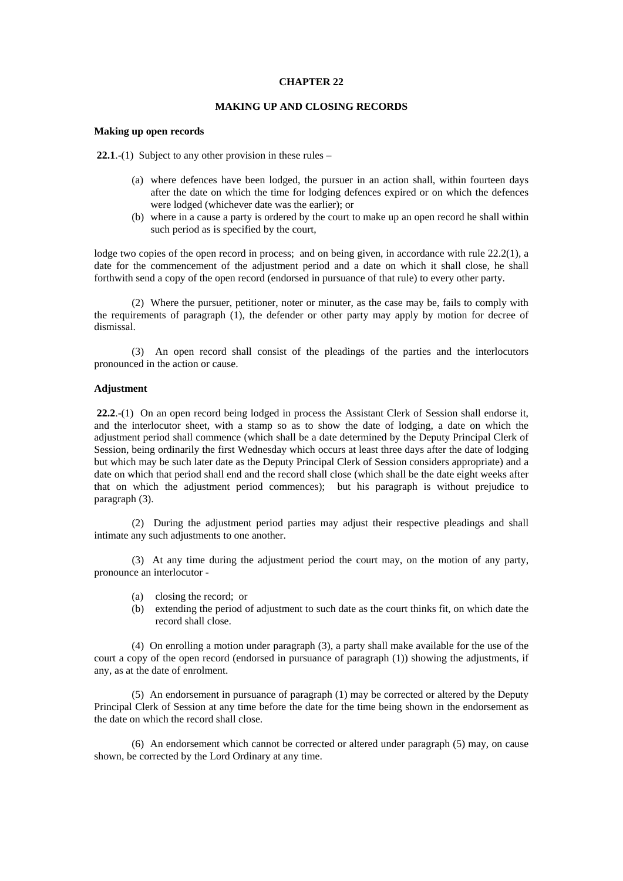#### **CHAPTER 22**

# **MAKING UP AND CLOSING RECORDS**

## **Making up open records**

**22.1**.-(1) Subject to any other provision in these rules –

- (a) where defences have been lodged, the pursuer in an action shall, within fourteen days after the date on which the time for lodging defences expired or on which the defences were lodged (whichever date was the earlier); or
- (b) where in a cause a party is ordered by the court to make up an open record he shall within such period as is specified by the court,

lodge two copies of the open record in process; and on being given, in accordance with rule 22.2(1), a date for the commencement of the adjustment period and a date on which it shall close, he shall forthwith send a copy of the open record (endorsed in pursuance of that rule) to every other party.

 (2) Where the pursuer, petitioner, noter or minuter, as the case may be, fails to comply with the requirements of paragraph (1), the defender or other party may apply by motion for decree of dismissal.

 (3) An open record shall consist of the pleadings of the parties and the interlocutors pronounced in the action or cause.

### **Adjustment**

**22.2**.-(1) On an open record being lodged in process the Assistant Clerk of Session shall endorse it, and the interlocutor sheet, with a stamp so as to show the date of lodging, a date on which the adjustment period shall commence (which shall be a date determined by the Deputy Principal Clerk of Session, being ordinarily the first Wednesday which occurs at least three days after the date of lodging but which may be such later date as the Deputy Principal Clerk of Session considers appropriate) and a date on which that period shall end and the record shall close (which shall be the date eight weeks after that on which the adjustment period commences); but his paragraph is without prejudice to paragraph (3).

 (2) During the adjustment period parties may adjust their respective pleadings and shall intimate any such adjustments to one another.

 (3) At any time during the adjustment period the court may, on the motion of any party, pronounce an interlocutor -

- (a) closing the record; or
- (b) extending the period of adjustment to such date as the court thinks fit, on which date the record shall close.

 (4) On enrolling a motion under paragraph (3), a party shall make available for the use of the court a copy of the open record (endorsed in pursuance of paragraph (1)) showing the adjustments, if any, as at the date of enrolment.

 (5) An endorsement in pursuance of paragraph (1) may be corrected or altered by the Deputy Principal Clerk of Session at any time before the date for the time being shown in the endorsement as the date on which the record shall close.

 (6) An endorsement which cannot be corrected or altered under paragraph (5) may, on cause shown, be corrected by the Lord Ordinary at any time.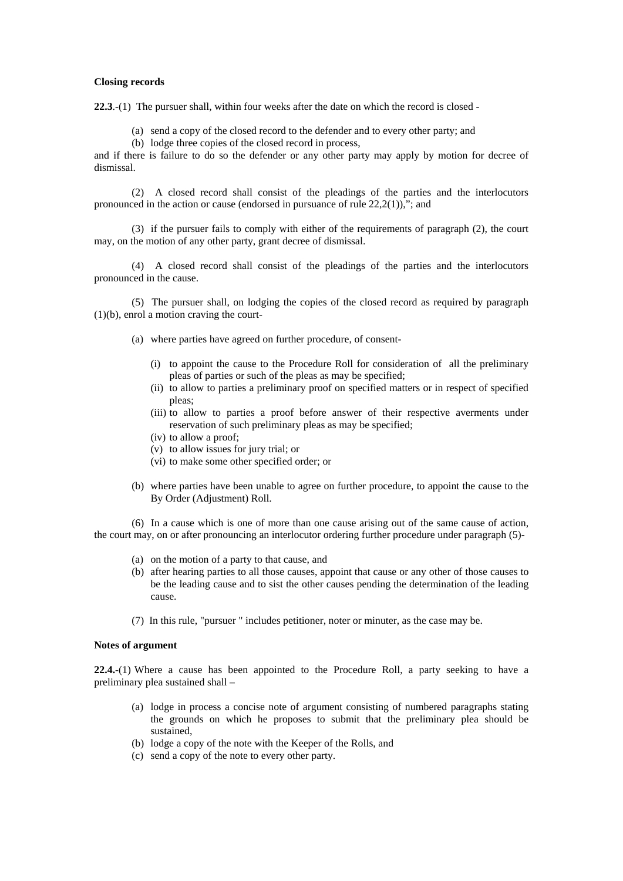#### **Closing records**

**22.3**.-(1) The pursuer shall, within four weeks after the date on which the record is closed -

- (a) send a copy of the closed record to the defender and to every other party; and
- (b) lodge three copies of the closed record in process,

and if there is failure to do so the defender or any other party may apply by motion for decree of dismissal.

 (2) A closed record shall consist of the pleadings of the parties and the interlocutors pronounced in the action or cause (endorsed in pursuance of rule  $22,2(1)$ ),"; and

 (3) if the pursuer fails to comply with either of the requirements of paragraph (2), the court may, on the motion of any other party, grant decree of dismissal.

 (4) A closed record shall consist of the pleadings of the parties and the interlocutors pronounced in the cause.

 (5) The pursuer shall, on lodging the copies of the closed record as required by paragraph (1)(b), enrol a motion craving the court-

- (a) where parties have agreed on further procedure, of consent-
	- (i) to appoint the cause to the Procedure Roll for consideration of all the preliminary pleas of parties or such of the pleas as may be specified;
	- (ii) to allow to parties a preliminary proof on specified matters or in respect of specified pleas;
	- (iii) to allow to parties a proof before answer of their respective averments under reservation of such preliminary pleas as may be specified;
	- (iv) to allow a proof;
	- (v) to allow issues for jury trial; or
	- (vi) to make some other specified order; or
- (b) where parties have been unable to agree on further procedure, to appoint the cause to the By Order (Adjustment) Roll.

 (6) In a cause which is one of more than one cause arising out of the same cause of action, the court may, on or after pronouncing an interlocutor ordering further procedure under paragraph (5)-

- (a) on the motion of a party to that cause, and
- (b) after hearing parties to all those causes, appoint that cause or any other of those causes to be the leading cause and to sist the other causes pending the determination of the leading cause.
- (7) In this rule, "pursuer " includes petitioner, noter or minuter, as the case may be.

# **Notes of argument**

**22.4.**-(1) Where a cause has been appointed to the Procedure Roll, a party seeking to have a preliminary plea sustained shall –

- (a) lodge in process a concise note of argument consisting of numbered paragraphs stating the grounds on which he proposes to submit that the preliminary plea should be sustained,
- (b) lodge a copy of the note with the Keeper of the Rolls, and
- (c) send a copy of the note to every other party.